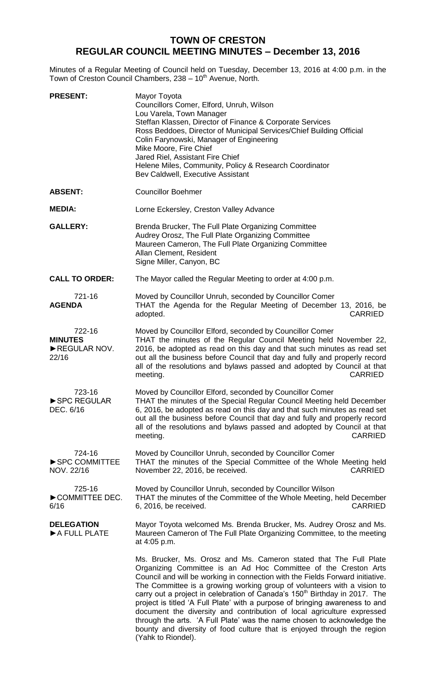# **TOWN OF CRESTON REGULAR COUNCIL MEETING MINUTES – December 13, 2016**

Minutes of a Regular Meeting of Council held on Tuesday, December 13, 2016 at 4:00 p.m. in the Town of Creston Council Chambers, 238 - 10<sup>th</sup> Avenue, North.

| <b>PRESENT:</b>                                   | Mayor Toyota<br>Councillors Comer, Elford, Unruh, Wilson<br>Lou Varela, Town Manager<br>Steffan Klassen, Director of Finance & Corporate Services<br>Ross Beddoes, Director of Municipal Services/Chief Building Official<br>Colin Farynowski, Manager of Engineering<br>Mike Moore, Fire Chief<br>Jared Riel, Assistant Fire Chief<br>Helene Miles, Community, Policy & Research Coordinator<br>Bev Caldwell, Executive Assistant                                                                                                                                                                                                                                                                                               |
|---------------------------------------------------|----------------------------------------------------------------------------------------------------------------------------------------------------------------------------------------------------------------------------------------------------------------------------------------------------------------------------------------------------------------------------------------------------------------------------------------------------------------------------------------------------------------------------------------------------------------------------------------------------------------------------------------------------------------------------------------------------------------------------------|
| <b>ABSENT:</b>                                    | <b>Councillor Boehmer</b>                                                                                                                                                                                                                                                                                                                                                                                                                                                                                                                                                                                                                                                                                                        |
| <b>MEDIA:</b>                                     | Lorne Eckersley, Creston Valley Advance                                                                                                                                                                                                                                                                                                                                                                                                                                                                                                                                                                                                                                                                                          |
| <b>GALLERY:</b>                                   | Brenda Brucker, The Full Plate Organizing Committee<br>Audrey Orosz, The Full Plate Organizing Committee<br>Maureen Cameron, The Full Plate Organizing Committee<br>Allan Clement, Resident<br>Signe Miller, Canyon, BC                                                                                                                                                                                                                                                                                                                                                                                                                                                                                                          |
| <b>CALL TO ORDER:</b>                             | The Mayor called the Regular Meeting to order at 4:00 p.m.                                                                                                                                                                                                                                                                                                                                                                                                                                                                                                                                                                                                                                                                       |
| 721-16<br><b>AGENDA</b>                           | Moved by Councillor Unruh, seconded by Councillor Comer<br>THAT the Agenda for the Regular Meeting of December 13, 2016, be<br><b>CARRIED</b><br>adopted.                                                                                                                                                                                                                                                                                                                                                                                                                                                                                                                                                                        |
| 722-16<br><b>MINUTES</b><br>REGULAR NOV.<br>22/16 | Moved by Councillor Elford, seconded by Councillor Comer<br>THAT the minutes of the Regular Council Meeting held November 22,<br>2016, be adopted as read on this day and that such minutes as read set<br>out all the business before Council that day and fully and properly record<br>all of the resolutions and bylaws passed and adopted by Council at that<br><b>CARRIED</b><br>meeting.                                                                                                                                                                                                                                                                                                                                   |
| 723-16<br>SPC REGULAR<br>DEC. 6/16                | Moved by Councillor Elford, seconded by Councillor Comer<br>THAT the minutes of the Special Regular Council Meeting held December<br>6, 2016, be adopted as read on this day and that such minutes as read set<br>out all the business before Council that day and fully and properly record<br>all of the resolutions and bylaws passed and adopted by Council at that<br>meeting.<br><b>CARRIED</b>                                                                                                                                                                                                                                                                                                                            |
| 724-16<br>SPC COMMITTEE<br>NOV. 22/16             | Moved by Councillor Unruh, seconded by Councillor Comer<br>THAT the minutes of the Special Committee of the Whole Meeting held<br>November 22, 2016, be received.<br><b>CARRIED</b>                                                                                                                                                                                                                                                                                                                                                                                                                                                                                                                                              |
| 725-16<br>COMMITTEE DEC.<br>6/16                  | Moved by Councillor Unruh, seconded by Councillor Wilson<br>THAT the minutes of the Committee of the Whole Meeting, held December<br><b>CARRIED</b><br>6, 2016, be received.                                                                                                                                                                                                                                                                                                                                                                                                                                                                                                                                                     |
| <b>DELEGATION</b><br>A FULL PLATE                 | Mayor Toyota welcomed Ms. Brenda Brucker, Ms. Audrey Orosz and Ms.<br>Maureen Cameron of The Full Plate Organizing Committee, to the meeting<br>at 4:05 p.m.                                                                                                                                                                                                                                                                                                                                                                                                                                                                                                                                                                     |
|                                                   | Ms. Brucker, Ms. Orosz and Ms. Cameron stated that The Full Plate<br>Organizing Committee is an Ad Hoc Committee of the Creston Arts<br>Council and will be working in connection with the Fields Forward initiative.<br>The Committee is a growing working group of volunteers with a vision to<br>carry out a project in celebration of Canada's 150 <sup>th</sup> Birthday in 2017. The<br>project is titled 'A Full Plate' with a purpose of bringing awareness to and<br>document the diversity and contribution of local agriculture expressed<br>through the arts. 'A Full Plate' was the name chosen to acknowledge the<br>bounty and diversity of food culture that is enjoyed through the region<br>(Yahk to Riondel). |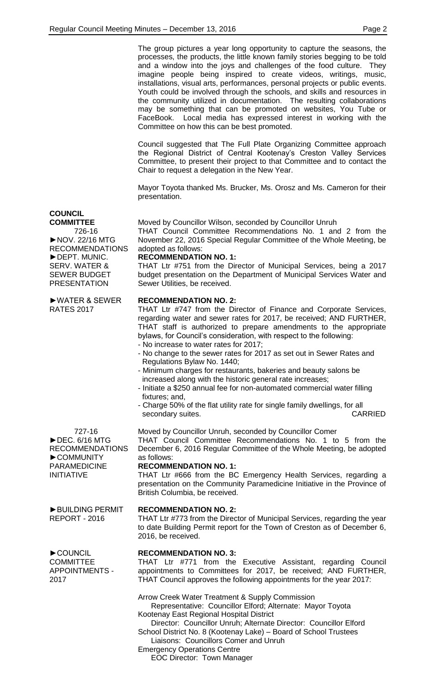The group pictures a year long opportunity to capture the seasons, the processes, the products, the little known family stories begging to be told and a window into the joys and challenges of the food culture. They imagine people being inspired to create videos, writings, music, installations, visual arts, performances, personal projects or public events. Youth could be involved through the schools, and skills and resources in the community utilized in documentation. The resulting collaborations may be something that can be promoted on websites, You Tube or FaceBook. Local media has expressed interest in working with the Committee on how this can be best promoted.

Council suggested that The Full Plate Organizing Committee approach the Regional District of Central Kootenay's Creston Valley Services Committee, to present their project to that Committee and to contact the Chair to request a delegation in the New Year.

Mayor Toyota thanked Ms. Brucker, Ms. Orosz and Ms. Cameron for their presentation.

## **COUNCIL**

**COMMITTEE** 726-16 ►NOV. 22/16 MTG RECOMMENDATIONS ►DEPT. MUNIC. SERV. WATER & SEWER BUDGET

Moved by Councillor Wilson, seconded by Councillor Unruh THAT Council Committee Recommendations No. 1 and 2 from the

November 22, 2016 Special Regular Committee of the Whole Meeting, be adopted as follows:

#### **RECOMMENDATION NO. 1:**

THAT Ltr #751 from the Director of Municipal Services, being a 2017 budget presentation on the Department of Municipal Services Water and Sewer Utilities, be received.

### **RECOMMENDATION NO. 2:**

THAT Ltr #747 from the Director of Finance and Corporate Services, regarding water and sewer rates for 2017, be received; AND FURTHER, THAT staff is authorized to prepare amendments to the appropriate bylaws, for Council's consideration, with respect to the following:

- No increase to water rates for 2017;
- No change to the sewer rates for 2017 as set out in Sewer Rates and Regulations Bylaw No. 1440;
- Minimum charges for restaurants, bakeries and beauty salons be increased along with the historic general rate increases;

Moved by Councillor Unruh, seconded by Councillor Comer

- Initiate a \$250 annual fee for non-automated commercial water filling fixtures; and
- Charge 50% of the flat utility rate for single family dwellings, for all secondary suites. The conduction of the conduction of the conduction of the conduction of the conduction of the conduction of the conduction of the conduction of the conduction of the conduction of the conduction of the co

THAT Council Committee Recommendations No. 1 to 5 from the December 6, 2016 Regular Committee of the Whole Meeting, be adopted

THAT Ltr #666 from the BC Emergency Health Services, regarding a

727-16 ►DEC. 6/16 MTG RECOMMENDATIONS ►COMMUNITY PARAMEDICINE INITIATIVE

►BUILDING PERMIT REPORT - 2016

►COUNCIL COMMITTEE APPOINTMENTS -

2017

presentation on the Community Paramedicine Initiative in the Province of British Columbia, be received.

#### **RECOMMENDATION NO. 2:**

**RECOMMENDATION NO. 1:**

as follows:

THAT Ltr #773 from the Director of Municipal Services, regarding the year to date Building Permit report for the Town of Creston as of December 6, 2016, be received.

#### **RECOMMENDATION NO. 3:**

THAT Ltr #771 from the Executive Assistant, regarding Council appointments to Committees for 2017, be received; AND FURTHER, THAT Council approves the following appointments for the year 2017:

Arrow Creek Water Treatment & Supply Commission

Representative: Councillor Elford; Alternate: Mayor Toyota Kootenay East Regional Hospital District

Director: Councillor Unruh; Alternate Director: Councillor Elford School District No. 8 (Kootenay Lake) – Board of School Trustees

Liaisons: Councillors Comer and Unruh Emergency Operations Centre

EOC Director: Town Manager

PRESENTATION

►WATER & SEWER RATES 2017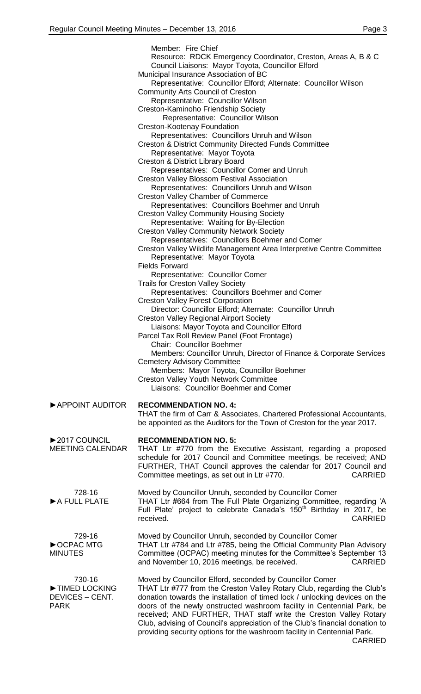|                         | Member: Fire Chief                                                                                                 |
|-------------------------|--------------------------------------------------------------------------------------------------------------------|
|                         | Resource: RDCK Emergency Coordinator, Creston, Areas A, B & C<br>Council Liaisons: Mayor Toyota, Councillor Elford |
|                         | Municipal Insurance Association of BC<br>Representative: Councillor Elford; Alternate: Councillor Wilson           |
|                         | <b>Community Arts Council of Creston</b>                                                                           |
|                         | Representative: Councillor Wilson                                                                                  |
|                         | Creston-Kaminoho Friendship Society                                                                                |
|                         | Representative: Councillor Wilson                                                                                  |
|                         | <b>Creston-Kootenay Foundation</b>                                                                                 |
|                         | Representatives: Councillors Unruh and Wilson                                                                      |
|                         | <b>Creston &amp; District Community Directed Funds Committee</b>                                                   |
|                         | Representative: Mayor Toyota                                                                                       |
|                         | Creston & District Library Board                                                                                   |
|                         | Representatives: Councillor Comer and Unruh                                                                        |
|                         | <b>Creston Valley Blossom Festival Association</b>                                                                 |
|                         | Representatives: Councillors Unruh and Wilson                                                                      |
|                         | <b>Creston Valley Chamber of Commerce</b>                                                                          |
|                         | Representatives: Councillors Boehmer and Unruh                                                                     |
|                         | <b>Creston Valley Community Housing Society</b>                                                                    |
|                         | Representative: Waiting for By-Election                                                                            |
|                         | <b>Creston Valley Community Network Society</b>                                                                    |
|                         | Representatives: Councillors Boehmer and Comer                                                                     |
|                         | Creston Valley Wildlife Management Area Interpretive Centre Committee                                              |
|                         | Representative: Mayor Toyota                                                                                       |
|                         | <b>Fields Forward</b>                                                                                              |
|                         | Representative: Councillor Comer                                                                                   |
|                         | <b>Trails for Creston Valley Society</b>                                                                           |
|                         | Representatives: Councillors Boehmer and Comer                                                                     |
|                         | <b>Creston Valley Forest Corporation</b>                                                                           |
|                         | Director: Councillor Elford; Alternate: Councillor Unruh                                                           |
|                         | <b>Creston Valley Regional Airport Society</b>                                                                     |
|                         | Liaisons: Mayor Toyota and Councillor Elford                                                                       |
|                         | Parcel Tax Roll Review Panel (Foot Frontage)                                                                       |
|                         | <b>Chair: Councillor Boehmer</b>                                                                                   |
|                         | Members: Councillor Unruh, Director of Finance & Corporate Services                                                |
|                         | <b>Cemetery Advisory Committee</b>                                                                                 |
|                         | Members: Mayor Toyota, Councillor Boehmer                                                                          |
|                         | <b>Creston Valley Youth Network Committee</b>                                                                      |
|                         | Liaisons: Councillor Boehmer and Comer                                                                             |
|                         |                                                                                                                    |
| APPOINT AUDITOR         | <b>RECOMMENDATION NO. 4:</b>                                                                                       |
|                         | THAT the firm of Carr & Associates, Chartered Professional Accountants,                                            |
|                         | be appointed as the Auditors for the Town of Creston for the year 2017.                                            |
|                         |                                                                                                                    |
| ▶ 2017 COUNCIL          | <b>RECOMMENDATION NO. 5:</b>                                                                                       |
| <b>MEETING CALENDAR</b> | THAT Ltr #770 from the Executive Assistant, regarding a proposed                                                   |
|                         | schedule for 2017 Council and Committee meetings, be received; AND                                                 |
|                         | FURTHER, THAT Council approves the calendar for 2017 Council and                                                   |
|                         | Committee meetings, as set out in Ltr #770.<br><b>CARRIED</b>                                                      |
|                         |                                                                                                                    |
| 728-16                  | Moved by Councillor Unruh, seconded by Councillor Comer                                                            |
| A FULL PLATE            | THAT Ltr #664 from The Full Plate Organizing Committee, regarding 'A                                               |
|                         | Full Plate' project to celebrate Canada's 150 <sup>th</sup> Birthday in 2017, be                                   |
|                         | <b>CARRIED</b><br>received.                                                                                        |
|                         |                                                                                                                    |
| 729-16                  | Moved by Councillor Unruh, seconded by Councillor Comer                                                            |
| ▶ OCPAC MTG             | THAT Ltr #784 and Ltr #785, being the Official Community Plan Advisory                                             |
| <b>MINUTES</b>          | Committee (OCPAC) meeting minutes for the Committee's September 13                                                 |
|                         | and November 10, 2016 meetings, be received.<br><b>CARRIED</b>                                                     |
|                         |                                                                                                                    |
| 730-16                  | Moved by Councillor Elford, seconded by Councillor Comer                                                           |
| TIMED LOCKING           | THAT Ltr #777 from the Creston Valley Rotary Club, regarding the Club's                                            |
| DEVICES - CENT.         | donation towards the installation of timed lock / unlocking devices on the                                         |
| <b>PARK</b>             | doors of the newly onstructed washroom facility in Centennial Park, be                                             |
|                         | received; AND FURTHER, THAT staff write the Creston Valley Rotary                                                  |
|                         | Club, advising of Council's appreciation of the Club's financial donation to                                       |
|                         | providing security options for the washroom facility in Centennial Park.                                           |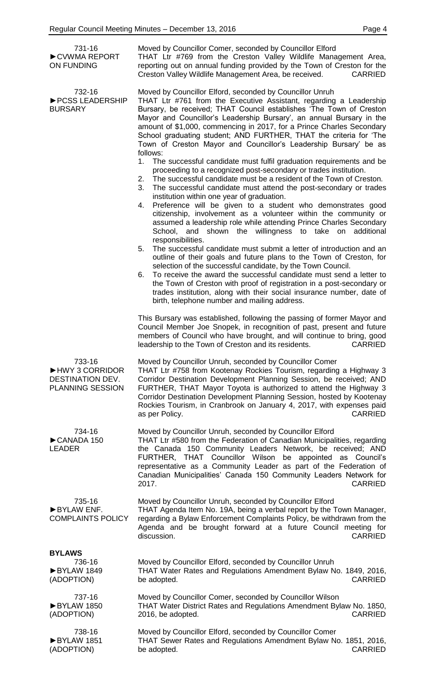| 731-16<br>CVWMA REPORT<br><b>ON FUNDING</b>                             | Moved by Councillor Comer, seconded by Councillor Elford<br>THAT Ltr #769 from the Creston Valley Wildlife Management Area,<br>reporting out on annual funding provided by the Town of Creston for the<br>Creston Valley Wildlife Management Area, be received.<br><b>CARRIED</b>                                                                                                                                                                                                                                                                                                                                                                                                                                                                                                                                                                                                                                                        |
|-------------------------------------------------------------------------|------------------------------------------------------------------------------------------------------------------------------------------------------------------------------------------------------------------------------------------------------------------------------------------------------------------------------------------------------------------------------------------------------------------------------------------------------------------------------------------------------------------------------------------------------------------------------------------------------------------------------------------------------------------------------------------------------------------------------------------------------------------------------------------------------------------------------------------------------------------------------------------------------------------------------------------|
| 732-16<br>▶ PCSS LEADERSHIP<br><b>BURSARY</b>                           | Moved by Councillor Elford, seconded by Councillor Unruh<br>THAT Ltr #761 from the Executive Assistant, regarding a Leadership<br>Bursary, be received; THAT Council establishes 'The Town of Creston<br>Mayor and Councillor's Leadership Bursary', an annual Bursary in the<br>amount of \$1,000, commencing in 2017, for a Prince Charles Secondary<br>School graduating student; AND FURTHER, THAT the criteria for 'The<br>Town of Creston Mayor and Councillor's Leadership Bursary' be as<br>follows:<br>The successful candidate must fulfil graduation requirements and be<br>1.<br>proceeding to a recognized post-secondary or trades institution.<br>The successful candidate must be a resident of the Town of Creston.<br>2.<br>3.<br>The successful candidate must attend the post-secondary or trades<br>institution within one year of graduation.<br>Preference will be given to a student who demonstrates good<br>4. |
|                                                                         | citizenship, involvement as a volunteer within the community or<br>assumed a leadership role while attending Prince Charles Secondary<br>School, and shown the willingness to take on<br>additional<br>responsibilities.<br>The successful candidate must submit a letter of introduction and an<br>5.<br>outline of their goals and future plans to the Town of Creston, for<br>selection of the successful candidate, by the Town Council.<br>To receive the award the successful candidate must send a letter to<br>6.<br>the Town of Creston with proof of registration in a post-secondary or<br>trades institution, along with their social insurance number, date of<br>birth, telephone number and mailing address.                                                                                                                                                                                                              |
|                                                                         | This Bursary was established, following the passing of former Mayor and<br>Council Member Joe Snopek, in recognition of past, present and future<br>members of Council who have brought, and will continue to bring, good<br><b>CARRIED</b><br>leadership to the Town of Creston and its residents.                                                                                                                                                                                                                                                                                                                                                                                                                                                                                                                                                                                                                                      |
| 733-16<br>HWY 3 CORRIDOR<br>DESTINATION DEV.<br><b>PLANNING SESSION</b> | Moved by Councillor Unruh, seconded by Councillor Comer<br>THAT Ltr #758 from Kootenay Rockies Tourism, regarding a Highway 3<br>Corridor Destination Development Planning Session, be received; AND<br>FURTHER, THAT Mayor Toyota is authorized to attend the Highway 3<br>Corridor Destination Development Planning Session, hosted by Kootenay<br>Rockies Tourism, in Cranbrook on January 4, 2017, with expenses paid<br><b>CARRIED</b><br>as per Policy.                                                                                                                                                                                                                                                                                                                                                                                                                                                                            |
| 734-16<br>CANADA 150<br><b>LEADER</b>                                   | Moved by Councillor Unruh, seconded by Councillor Elford<br>THAT Ltr #580 from the Federation of Canadian Municipalities, regarding<br>the Canada 150 Community Leaders Network, be received; AND<br>FURTHER, THAT Councillor Wilson<br>be appointed as Council's<br>representative as a Community Leader as part of the Federation of<br>Canadian Municipalities' Canada 150 Community Leaders Network for<br>2017.<br><b>CARRIED</b>                                                                                                                                                                                                                                                                                                                                                                                                                                                                                                   |
| 735-16<br>BYLAW ENF.<br><b>COMPLAINTS POLICY</b>                        | Moved by Councillor Unruh, seconded by Councillor Elford<br>THAT Agenda Item No. 19A, being a verbal report by the Town Manager,<br>regarding a Bylaw Enforcement Complaints Policy, be withdrawn from the<br>Agenda and be brought forward at a future Council meeting for<br>discussion.<br><b>CARRIED</b>                                                                                                                                                                                                                                                                                                                                                                                                                                                                                                                                                                                                                             |
| <b>BYLAWS</b><br>736-16<br>BYLAW 1849<br>(ADOPTION)                     | Moved by Councillor Elford, seconded by Councillor Unruh<br>THAT Water Rates and Regulations Amendment Bylaw No. 1849, 2016,<br><b>CARRIED</b><br>be adopted.                                                                                                                                                                                                                                                                                                                                                                                                                                                                                                                                                                                                                                                                                                                                                                            |
| 737-16<br>▶BYLAW 1850<br>(ADOPTION)                                     | Moved by Councillor Comer, seconded by Councillor Wilson<br>THAT Water District Rates and Regulations Amendment Bylaw No. 1850,<br>2016, be adopted.<br><b>CARRIED</b>                                                                                                                                                                                                                                                                                                                                                                                                                                                                                                                                                                                                                                                                                                                                                                   |
| 738-16<br>BYLAW 1851<br>(ADOPTION)                                      | Moved by Councillor Elford, seconded by Councillor Comer<br>THAT Sewer Rates and Regulations Amendment Bylaw No. 1851, 2016,<br>be adopted.<br><b>CARRIED</b>                                                                                                                                                                                                                                                                                                                                                                                                                                                                                                                                                                                                                                                                                                                                                                            |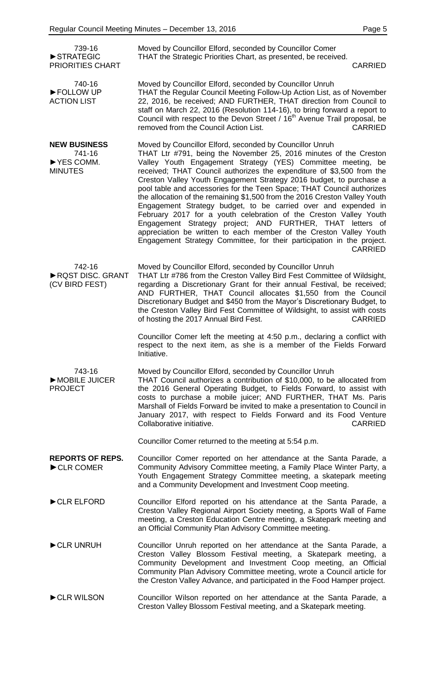| 739-16<br>STRATEGIC<br><b>PRIORITIES CHART</b>                 | Moved by Councillor Elford, seconded by Councillor Comer<br>THAT the Strategic Priorities Chart, as presented, be received.<br><b>CARRIED</b>                                                                                                                                                                                                                                                                                                                                                                                                                                                                                                                                                                                                                                                                                                                               |
|----------------------------------------------------------------|-----------------------------------------------------------------------------------------------------------------------------------------------------------------------------------------------------------------------------------------------------------------------------------------------------------------------------------------------------------------------------------------------------------------------------------------------------------------------------------------------------------------------------------------------------------------------------------------------------------------------------------------------------------------------------------------------------------------------------------------------------------------------------------------------------------------------------------------------------------------------------|
| 740-16<br>FOLLOW UP<br><b>ACTION LIST</b>                      | Moved by Councillor Elford, seconded by Councillor Unruh<br>THAT the Regular Council Meeting Follow-Up Action List, as of November<br>22, 2016, be received; AND FURTHER, THAT direction from Council to<br>staff on March 22, 2016 (Resolution 114-16), to bring forward a report to<br>Council with respect to the Devon Street / 16 <sup>th</sup> Avenue Trail proposal, be<br>removed from the Council Action List.<br><b>CARRIED</b>                                                                                                                                                                                                                                                                                                                                                                                                                                   |
| <b>NEW BUSINESS</b><br>741-16<br>▶ YES COMM.<br><b>MINUTES</b> | Moved by Councillor Elford, seconded by Councillor Unruh<br>THAT Ltr #791, being the November 25, 2016 minutes of the Creston<br>Valley Youth Engagement Strategy (YES) Committee meeting, be<br>received; THAT Council authorizes the expenditure of \$3,500 from the<br>Creston Valley Youth Engagement Strategy 2016 budget, to purchase a<br>pool table and accessories for the Teen Space; THAT Council authorizes<br>the allocation of the remaining \$1,500 from the 2016 Creston Valley Youth<br>Engagement Strategy budget, to be carried over and expended in<br>February 2017 for a youth celebration of the Creston Valley Youth<br>Engagement Strategy project; AND FURTHER, THAT letters of<br>appreciation be written to each member of the Creston Valley Youth<br>Engagement Strategy Committee, for their participation in the project.<br><b>CARRIED</b> |
| 742-16<br>RQST DISC. GRANT<br>(CV BIRD FEST)                   | Moved by Councillor Elford, seconded by Councillor Unruh<br>THAT Ltr #786 from the Creston Valley Bird Fest Committee of Wildsight,<br>regarding a Discretionary Grant for their annual Festival, be received;<br>AND FURTHER, THAT Council allocates \$1,550 from the Council<br>Discretionary Budget and \$450 from the Mayor's Discretionary Budget, to<br>the Creston Valley Bird Fest Committee of Wildsight, to assist with costs<br>of hosting the 2017 Annual Bird Fest.<br><b>CARRIED</b>                                                                                                                                                                                                                                                                                                                                                                          |
|                                                                | Councillor Comer left the meeting at 4:50 p.m., declaring a conflict with<br>respect to the next item, as she is a member of the Fields Forward<br>Initiative.                                                                                                                                                                                                                                                                                                                                                                                                                                                                                                                                                                                                                                                                                                              |
| 743-16<br>MOBILE JUICER<br><b>PROJECT</b>                      | Moved by Councillor Elford, seconded by Councillor Unruh<br>THAT Council authorizes a contribution of \$10,000, to be allocated from<br>the 2016 General Operating Budget, to Fields Forward, to assist with<br>costs to purchase a mobile juicer; AND FURTHER, THAT Ms. Paris<br>Marshall of Fields Forward be invited to make a presentation to Council in<br>January 2017, with respect to Fields Forward and its Food Venture<br>Collaborative initiative.<br><b>CARRIED</b>                                                                                                                                                                                                                                                                                                                                                                                            |
|                                                                | Councillor Comer returned to the meeting at 5:54 p.m.                                                                                                                                                                                                                                                                                                                                                                                                                                                                                                                                                                                                                                                                                                                                                                                                                       |
| <b>REPORTS OF REPS.</b><br>CLR COMER                           | Councillor Comer reported on her attendance at the Santa Parade, a<br>Community Advisory Committee meeting, a Family Place Winter Party, a<br>Youth Engagement Strategy Committee meeting, a skatepark meeting<br>and a Community Development and Investment Coop meeting.                                                                                                                                                                                                                                                                                                                                                                                                                                                                                                                                                                                                  |
| CLR ELFORD                                                     | Councillor Elford reported on his attendance at the Santa Parade, a<br>Creston Valley Regional Airport Society meeting, a Sports Wall of Fame<br>meeting, a Creston Education Centre meeting, a Skatepark meeting and<br>an Official Community Plan Advisory Committee meeting.                                                                                                                                                                                                                                                                                                                                                                                                                                                                                                                                                                                             |
| CLR UNRUH                                                      | Councillor Unruh reported on her attendance at the Santa Parade, a<br>Creston Valley Blossom Festival meeting, a Skatepark meeting, a<br>Community Development and Investment Coop meeting, an Official<br>Community Plan Advisory Committee meeting, wrote a Council article for<br>the Creston Valley Advance, and participated in the Food Hamper project.                                                                                                                                                                                                                                                                                                                                                                                                                                                                                                               |
| CLR WILSON                                                     | Councillor Wilson reported on her attendance at the Santa Parade, a<br>Creston Valley Blossom Festival meeting, and a Skatepark meeting.                                                                                                                                                                                                                                                                                                                                                                                                                                                                                                                                                                                                                                                                                                                                    |